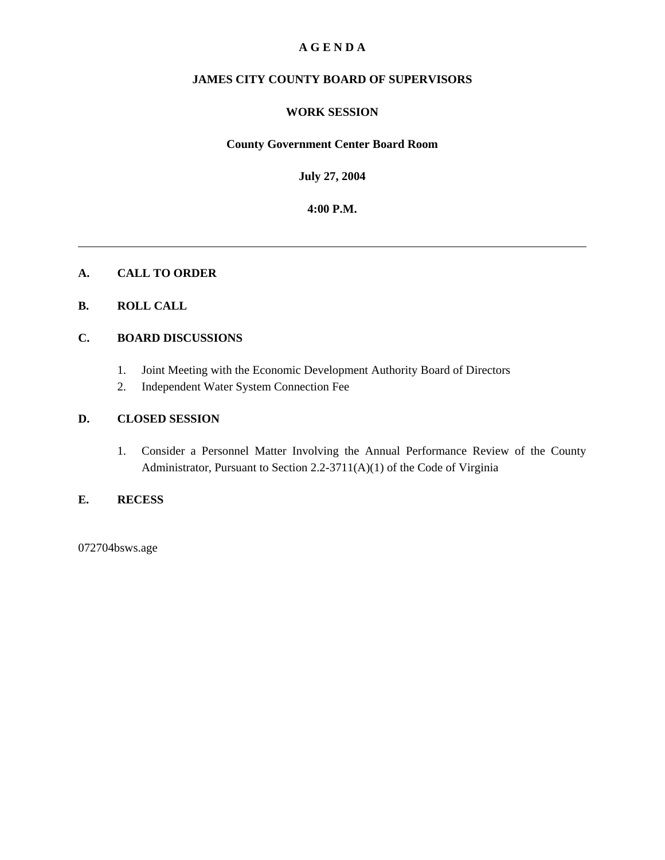#### **A G E N D A**

#### **JAMES CITY COUNTY BOARD OF SUPERVISORS**

#### **WORK SESSION**

#### **County Government Center Board Room**

**July 27, 2004**

**4:00 P.M.**

#### **A. CALL TO ORDER**

#### **B. ROLL CALL**

#### **C. BOARD DISCUSSIONS**

- 1. Joint Meeting with the Economic Development Authority Board of Directors
- 2. Independent Water System Connection Fee

#### **D. CLOSED SESSION**

1. Consider a Personnel Matter Involving the Annual Performance Review of the County Administrator, Pursuant to Section 2.2-3711(A)(1) of the Code of Virginia

#### **E. RECESS**

072704bsws.age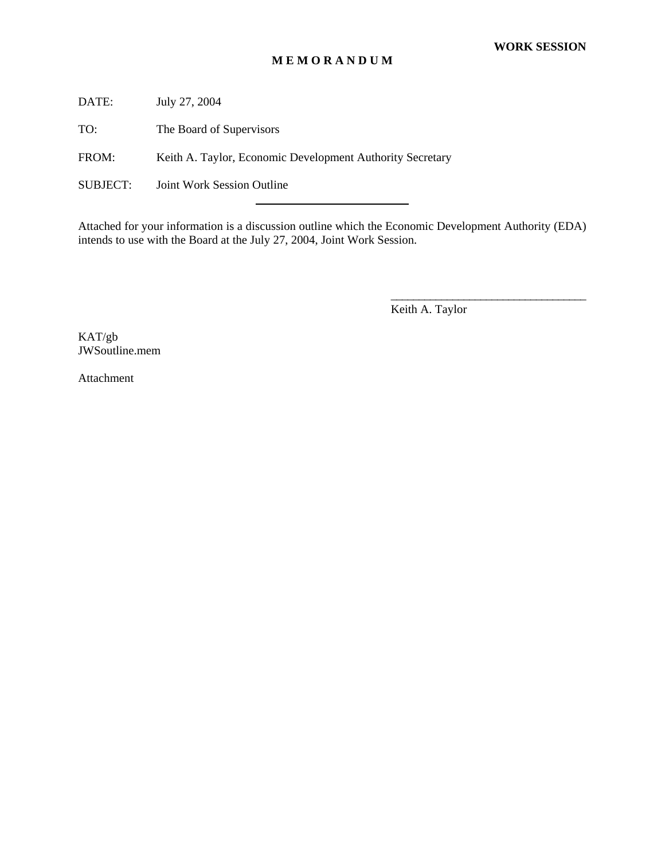#### **M E M O R A N D U M**

DATE: July 27, 2004

TO: The Board of Supervisors

FROM: Keith A. Taylor, Economic Development Authority Secretary

l

SUBJECT: Joint Work Session Outline

Attached for your information is a discussion outline which the Economic Development Authority (EDA) intends to use with the Board at the July 27, 2004, Joint Work Session.

Keith A. Taylor

\_\_\_\_\_\_\_\_\_\_\_\_\_\_\_\_\_\_\_\_\_\_\_\_\_\_\_\_\_\_\_\_\_\_\_

KAT/gb JWSoutline.mem

Attachment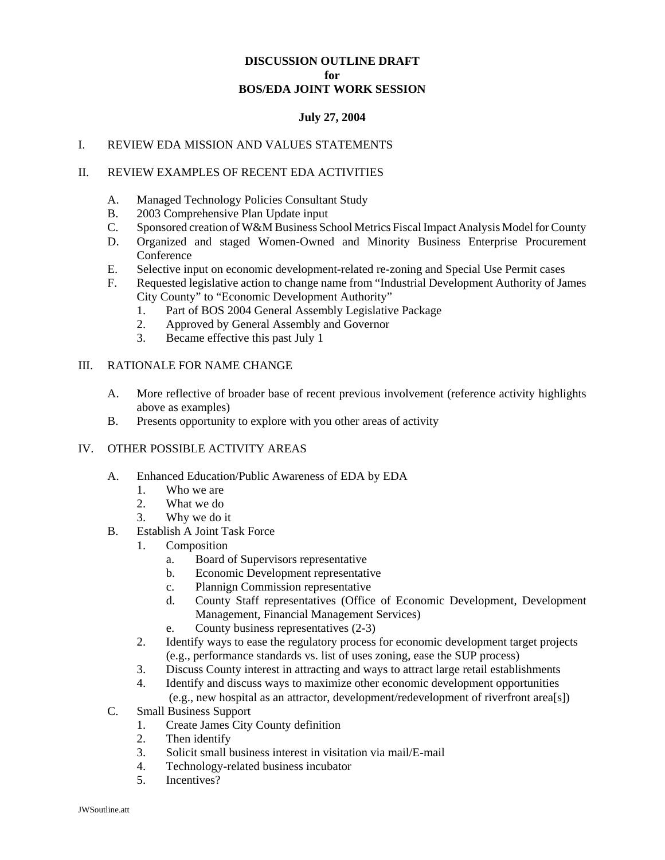#### **DISCUSSION OUTLINE DRAFT for BOS/EDA JOINT WORK SESSION**

#### **July 27, 2004**

#### I. REVIEW EDA MISSION AND VALUES STATEMENTS

#### II. REVIEW EXAMPLES OF RECENT EDA ACTIVITIES

- A. Managed Technology Policies Consultant Study
- B. 2003 Comprehensive Plan Update input
- C. Sponsored creation of W&M Business School Metrics Fiscal Impact Analysis Model for County
- D. Organized and staged Women-Owned and Minority Business Enterprise Procurement **Conference**
- E. Selective input on economic development-related re-zoning and Special Use Permit cases
- F. Requested legislative action to change name from "Industrial Development Authority of James City County" to "Economic Development Authority"
	- 1. Part of BOS 2004 General Assembly Legislative Package
	- 2. Approved by General Assembly and Governor
	- 3. Became effective this past July 1

#### III. RATIONALE FOR NAME CHANGE

- A. More reflective of broader base of recent previous involvement (reference activity highlights above as examples)
- B. Presents opportunity to explore with you other areas of activity

#### IV. OTHER POSSIBLE ACTIVITY AREAS

- A. Enhanced Education/Public Awareness of EDA by EDA
	- 1. Who we are
	- 2. What we do
	- 3. Why we do it
- B. Establish A Joint Task Force
	- 1. Composition
		- a. Board of Supervisors representative
		- b. Economic Development representative
		- c. Plannign Commission representative
		- d. County Staff representatives (Office of Economic Development, Development Management, Financial Management Services)
		- e. County business representatives (2-3)
	- 2. Identify ways to ease the regulatory process for economic development target projects (e.g., performance standards vs. list of uses zoning, ease the SUP process)
	- 3. Discuss County interest in attracting and ways to attract large retail establishments
	- 4. Identify and discuss ways to maximize other economic development opportunities (e.g., new hospital as an attractor, development/redevelopment of riverfront area[s])
- C. Small Business Support
	- 1. Create James City County definition
	- 2. Then identify
	- 3. Solicit small business interest in visitation via mail/E-mail
	- 4. Technology-related business incubator
	- 5. Incentives?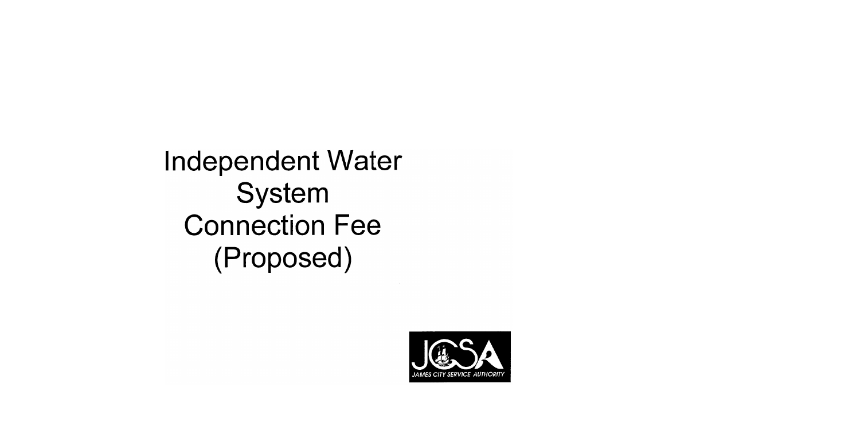# **Independent Water** System **Connection Fee** (Proposed)

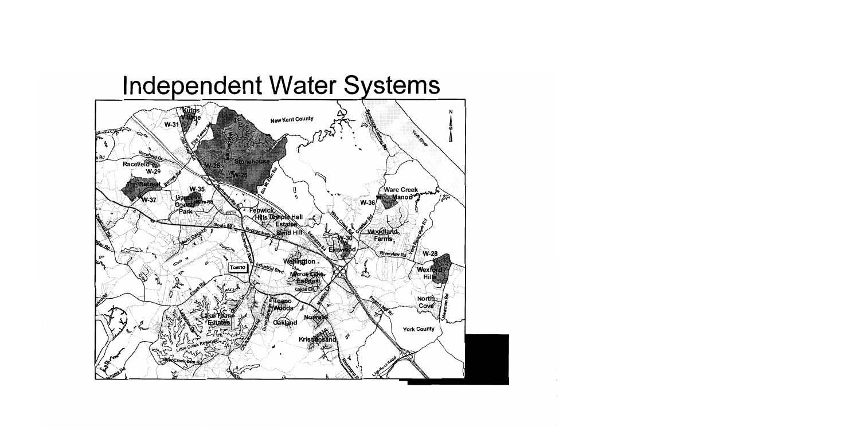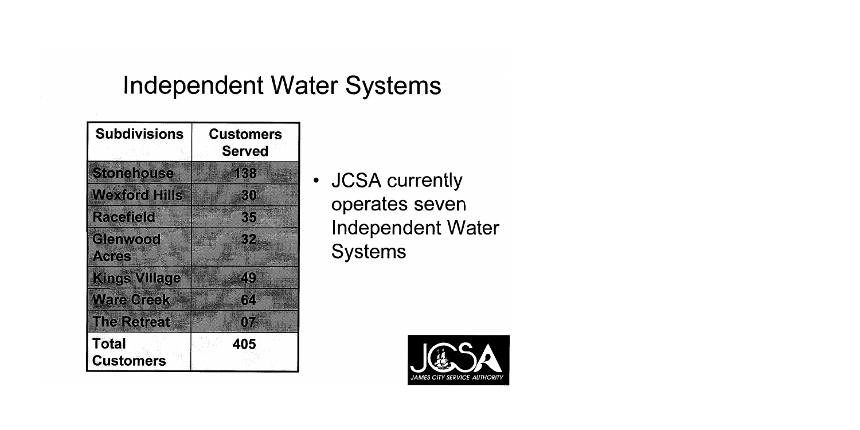### **Independent Water Systems**

| <b>Subdivisions</b>              | <b>Customers</b><br><b>Served</b> |  |  |
|----------------------------------|-----------------------------------|--|--|
| <b>Stonehouse</b>                | 138                               |  |  |
| <b>Wexford Hills</b>             | 30                                |  |  |
| <b>Racefield</b>                 | 35                                |  |  |
| Glenwood<br><b>Acres</b>         | 32                                |  |  |
| <b>Kings Village</b>             | Z (e)                             |  |  |
| <b>Ware Creek</b>                | 64                                |  |  |
| <b>The Retreat</b>               | 07                                |  |  |
| <b>Total</b><br><b>Customers</b> | 405                               |  |  |

• JCSA currently operates seven **Independent Water Systems** 

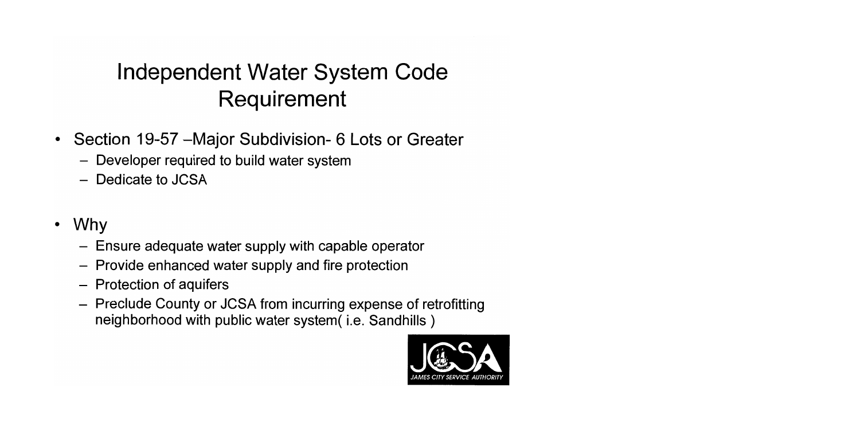### Independent Water System Code Requirement

- Section 19-57 Major Subdivision 6 Lots or Greater
	- Developer required to build water system
	- Dedicate to JCSA
- Why  $\bullet$ 
	- Ensure adequate water supply with capable operator
	- Provide enhanced water supply and fire protection
	- Protection of aquifers
	- Preclude County or JCSA from incurring expense of retrofitting neighborhood with public water system (i.e. Sandhills)

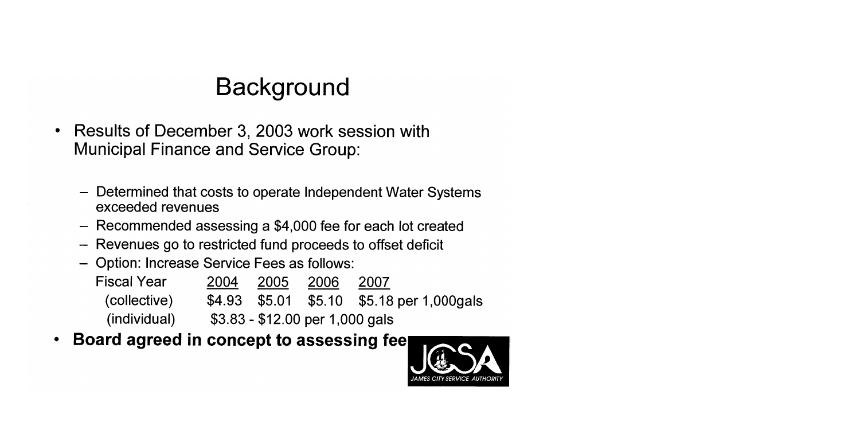## **Background**

- Results of December 3, 2003 work session with  $\bullet$ **Municipal Finance and Service Group:** 
	- Determined that costs to operate Independent Water Systems exceeded revenues
	- Recommended assessing a \$4,000 fee for each lot created
	- Revenues go to restricted fund proceeds to offset deficit
	- Option: Increase Service Fees as follows:

| <b>Fiscal Year</b> | 2004 | 2005 | 2006                            | 2007                                       |
|--------------------|------|------|---------------------------------|--------------------------------------------|
| (collective)       |      |      |                                 | \$4.93 \$5.01 \$5.10 \$5.18 per 1,000 gals |
| (individual)       |      |      | $$3.83 - $12.00$ per 1,000 gals |                                            |

Board agreed in concept to assessing fee